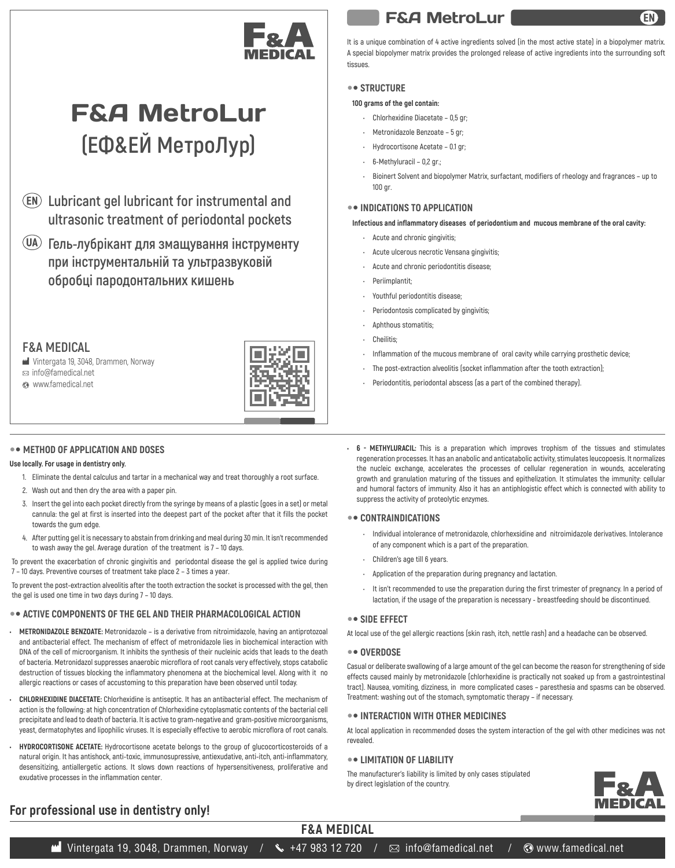

# F&A MetroLur **(ЕФ&ЕЙ МетроЛур)**

- **Lubricant gel lubricant for instrumental and ultrasonic treatment of periodontal pockets**
- **Гель-лубрікант для змащування інструменту при інструментальній та ультразвуковій обробці пародонтальних кишень**

### **F&A MEDICAL**

Vintergata 19, 3048, Drammen, Norway

info@famedical.net

www.famedical.net



#### $\bullet$  **METHOD OF APPLICATION AND DOSES**

#### **Use locally. For usage in dentistry only.**

- **1. Eliminate the dental calculus and tartar in a mechanical way and treat thoroughly a root surface.**
- **2. Wash out and then dry the area with a paper pin.**
- **3. Insert the gel into each pocket directly from the syringe by means of a plastic (goes in a set) or metal cannula: the gel at first is inserted into the deepest part of the pocket after that it fills the pocket towards the gum edge.**
- **4. After putting gel it is necessary to abstain from drinking and meal during 30 min. It isn't recommended to wash away the gel. Average duration of the treatment is 7 – 10 days.**

**To prevent the exacerbation of chronic gingivitis and periodontal disease the gel is applied twice during 7 – 10 days. Preventive courses of treatment take place 2 – 3 times a year.**

**To prevent the post-extraction alveolitis after the tooth extraction the socket is processed with the gel, then the gel is used one time in two days during 7 – 10 days.**

#### $\bullet$  **ACTIVE COMPONENTS OF THE GEL AND THEIR PHARMACOLOGICAL ACTION**

- **METRONIDAZOLE BENZOATE: Metronidazole is a derivative from nitroimidazole, having an antiprotozoal and antibacterial effect. The mechanism of effect of metronidazole lies in biochemical interaction with DNA of the cell of microorganism. It inhibits the synthesis of their nucleinic acids that leads to the death of bacteria. Metronidazol suppresses anaerobic microflora of root canals very effectively, stops catabolic destruction of tissues blocking the inflammatory phenomena at the biochemical level. Along with it no allergic reactions or cases of accustoming to this preparation have been observed until today.**
- **CHLORHEXIDINE DIACETATE: Chlorhexidine is antiseptic. It has an antibacterial effect. The mechanism of action is the following: at high concentration of Chlorhexidine cytoplasmatic contents of the bacterial cell precipitate and lead to death of bacteria. It is active to gram-negative and gram-positive microorganisms, yeast, dermatophytes and lipophilic viruses. It is especially effective to aerobic microflora of root canals.**
- **HYDROCORTISONE ACETATE: Hydrocortisone acetate belongs to the group of glucocorticosteroids of a natural origin. It has antishock, anti-toxic, immunosupressive, antiexudative, anti-itch, anti-inflammatory, desensitizing, antiallergetic actions. It slows down reactions of hypersensitiveness, proliferative and exudative processes in the inflammation center.**

## F&A MetroLur

**It is a unique combination of 4 active ingredients solved (in the most active state) in a biopolymer matrix. A special biopolymer matrix provides the prolonged release of active ingredients into the surrounding soft tissues.**

#### **•• STRUCTURE**

#### **100 grams of the gel contain:**

- **Chlorhexidine Diacetate 0,5 gr;**
- **Metronidazole Benzoate 5 gr;**
- **Hydrocortisone Acetate 0.1 gr;**
- **6-Methyluracil 0,2 gr.;**
- **Bioinert Solvent and biopolymer Matrix, surfactant, modifiers of rheology and fragrances up to 100 gr.**

#### **INDICATIONS TO APPLICATION**

**Infectious and inflammatory diseases of periodontium and mucous membrane of the oral cavity:**

- **Acute and chronic gingivitis;**
- **Acute ulcerous necrotic Vensana gingivitis;**
- **Acute and chronic periodontitis disease;**
- **Periimplantit;**
- **Youthful periodontitis disease;**
- **Periodontosis complicated by gingivitis;**
- **Aphthous stomatitis;**
- **Cheilitis;**
- **Inflammation of the mucous membrane of oral cavity while carrying prosthetic device;**
- **The post-extraction alveolitis (socket inflammation after the tooth extraction);**
- **Periodontitis, periodontal abscess (as a part of the combined therapy).**
- **6 METHYLURACIL: This is a preparation which improves trophism of the tissues and stimulates regeneration processes. It has an anabolic and anticatabolic activity, stimulates leucopoesis. It normalizes the nucleic exchange, accelerates the processes of cellular regeneration in wounds, accelerating growth and granulation maturing of the tissues and epithelization. It stimulates the immunity: cellular and humoral factors of immunity. Also it has an antiphlogistic effect which is connected with ability to suppress the activity of proteolytic enzymes.**

#### **•• CONTRAINDICATIONS**

- **Individual intolerance of metronidazole, chlorhexsidine and nitroimidazole derivatives. Intolerance of any component which is a part of the preparation.**
- **Children's age till 6 years.**
- **Application of the preparation during pregnancy and lactation.**
- **It isn't recommended to use the preparation during the first trimester of pregnancy. In a period of lactation, if the usage of the preparation is necessary - breastfeeding should be discontinued.**

#### **•• SIDE EFFECT**

**At local use of the gel allergic reactions (skin rash, itch, nettle rash) and a headache can be observed.**

#### **•• OVERDOSE**

**F&A MEDICAL**

**Casual or deliberate swallowing of a large amount of the gel can become the reason for strengthening of side effects caused mainly by metronidazole (chlorhexidine is practically not soaked up from a gastrointestinal tract). Nausea, vomiting, dizziness, in more complicated cases – paresthesia and spasms can be observed. Treatment: washing out of the stomach, symptomatic therapy – if necessary.**

#### **INTERACTION WITH OTHER MEDICINES**

**At local application in recommended doses the system interaction of the gel with other medicines was not revealed.**

#### **LIMITATION OF LIABILITY**

**The manufacturer's liability is limited by only cases stipulated by direct legislation of the country.**



### **For professional use in dentistry only!**

**M** Vintergata 19, 3048, Drammen, Norway /  $\sim$  +47 983 12 720 /  $\boxtimes$  info@famedical.net /  $\textcircled{\tiny{WWW}.famedical.net}$